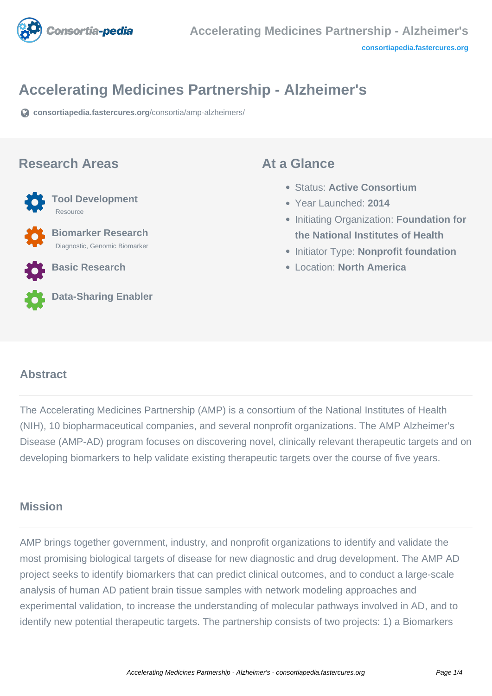

# **Accelerating Medicines Partnership - Alzheimer's**

**[consortiapedia.fastercures.org](https://consortiapedia.fastercures.org/consortia/amp-alzheimers/)**[/consortia/amp-alzheimers/](https://consortiapedia.fastercures.org/consortia/amp-alzheimers/)

#### **Research Areas**



 **Biomarker Research** Diagnostic, Genomic Biomarker

**Basic Research**



#### **Data-Sharing Enabler**

#### **At a Glance**

- Status: **Active Consortium**
- Year Launched: **2014**
- **Initiating Organization: Foundation for the National Institutes of Health**
- **Initiator Type: Nonprofit foundation**
- Location: **North America**

#### $\overline{a}$ **Abstract**

The Accelerating Medicines Partnership (AMP) is a consortium of the National Institutes of Health (NIH), 10 biopharmaceutical companies, and several nonprofit organizations. The AMP Alzheimer's Disease (AMP-AD) program focuses on discovering novel, clinically relevant therapeutic targets and on developing biomarkers to help validate existing therapeutic targets over the course of five years.

## **Mission**

AMP brings together government, industry, and nonprofit organizations to identify and validate the most promising biological targets of disease for new diagnostic and drug development. The AMP AD project seeks to identify biomarkers that can predict clinical outcomes, and to conduct a large-scale analysis of human AD patient brain tissue samples with network modeling approaches and experimental validation, to increase the understanding of molecular pathways involved in AD, and to identify new potential therapeutic targets. The partnership consists of two projects: 1) a Biomarkers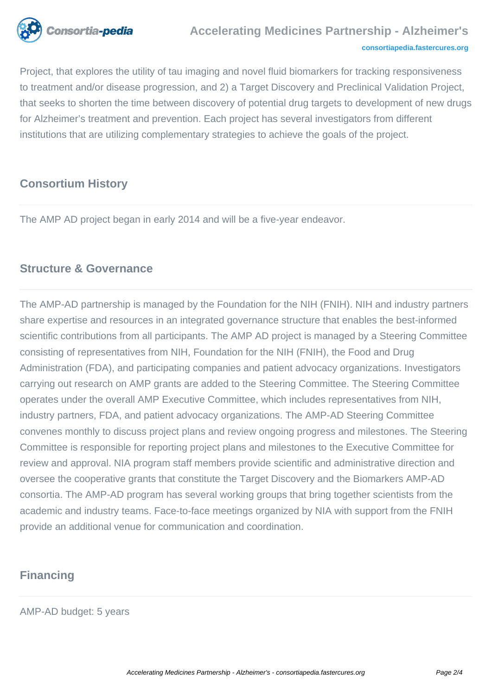

# **Accelerating Medicines Partnership - Alzheimer's**

#### **[consortiapedia.fastercures.org](http://consortiapedia.fastercures.org/)**

Project, that explores the utility of tau imaging and novel fluid biomarkers for tracking responsiveness to treatment and/or disease progression, and 2) a Target Discovery and Preclinical Validation Project, that seeks to shorten the time between discovery of potential drug targets to development of new drugs for Alzheimer's treatment and prevention. Each project has several investigators from different institutions that are utilizing complementary strategies to achieve the goals of the project.

## **Consortium History**

The AMP AD project began in early 2014 and will be a five-year endeavor.

## **Structure & Governance**

The AMP-AD partnership is managed by the Foundation for the NIH (FNIH). NIH and industry partners share expertise and resources in an integrated governance structure that enables the best-informed scientific contributions from all participants. The AMP AD project is managed by a Steering Committee consisting of representatives from NIH, Foundation for the NIH (FNIH), the Food and Drug Administration (FDA), and participating companies and patient advocacy organizations. Investigators carrying out research on AMP grants are added to the Steering Committee. The Steering Committee operates under the overall AMP Executive Committee, which includes representatives from NIH, industry partners, FDA, and patient advocacy organizations. The AMP-AD Steering Committee convenes monthly to discuss project plans and review ongoing progress and milestones. The Steering Committee is responsible for reporting project plans and milestones to the Executive Committee for review and approval. NIA program staff members provide scientific and administrative direction and oversee the cooperative grants that constitute the Target Discovery and the Biomarkers AMP-AD consortia. The AMP-AD program has several working groups that bring together scientists from the academic and industry teams. Face-to-face meetings organized by NIA with support from the FNIH provide an additional venue for communication and coordination.

### **Financing**

AMP-AD budget: 5 years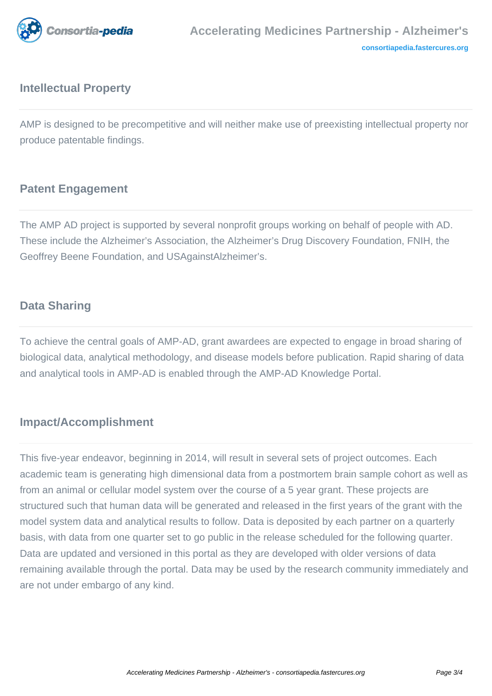

# **Intellectual Property**

AMP is designed to be precompetitive and will neither make use of preexisting intellectual property nor produce patentable findings.

# **Patent Engagement**

The AMP AD project is supported by several nonprofit groups working on behalf of people with AD. These include the Alzheimer's Association, the Alzheimer's Drug Discovery Foundation, FNIH, the Geoffrey Beene Foundation, and USAgainstAlzheimer's.

## **Data Sharing**

To achieve the central goals of AMP-AD, grant awardees are expected to engage in broad sharing of biological data, analytical methodology, and disease models before publication. Rapid sharing of data and analytical tools in AMP-AD is enabled through the AMP-AD Knowledge Portal.

### **Impact/Accomplishment**

This five-year endeavor, beginning in 2014, will result in several sets of project outcomes. Each academic team is generating high dimensional data from a postmortem brain sample cohort as well as from an animal or cellular model system over the course of a 5 year grant. These projects are structured such that human data will be generated and released in the first years of the grant with the model system data and analytical results to follow. Data is deposited by each partner on a quarterly basis, with data from one quarter set to go public in the release scheduled for the following quarter. Data are updated and versioned in this portal as they are developed with older versions of data remaining available through the portal. Data may be used by the research community immediately and are not under embargo of any kind.